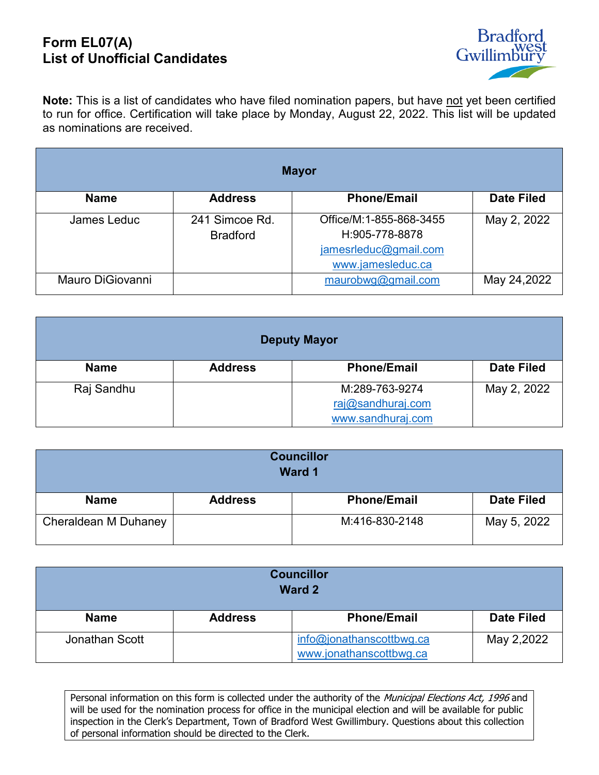## **Form EL07(A) List of Unofficial Candidates**



**Note:** This is a list of candidates who have filed nomination papers, but have not yet been certified to run for office. Certification will take place by Monday, August 22, 2022. This list will be updated as nominations are received.

| <b>Mayor</b>     |                                   |                                                                                         |                   |
|------------------|-----------------------------------|-----------------------------------------------------------------------------------------|-------------------|
| <b>Name</b>      | <b>Address</b>                    | <b>Phone/Email</b>                                                                      | <b>Date Filed</b> |
| James Leduc      | 241 Simcoe Rd.<br><b>Bradford</b> | Office/M:1-855-868-3455<br>H:905-778-8878<br>jamesrleduc@gmail.com<br>www.jamesleduc.ca | May 2, 2022       |
| Mauro DiGiovanni |                                   | maurobwg@gmail.com                                                                      | May 24,2022       |

| <b>Deputy Mayor</b> |                |                    |                   |
|---------------------|----------------|--------------------|-------------------|
| <b>Name</b>         | <b>Address</b> | <b>Phone/Email</b> | <b>Date Filed</b> |
| Raj Sandhu          |                | M:289-763-9274     | May 2, 2022       |
|                     |                | raj@sandhuraj.com  |                   |
|                     |                | www.sandhuraj.com  |                   |

| <b>Councillor</b><br><b>Ward 1</b> |                |                    |                   |
|------------------------------------|----------------|--------------------|-------------------|
| <b>Name</b>                        | <b>Address</b> | <b>Phone/Email</b> | <b>Date Filed</b> |
| Cheraldean M Duhaney               |                | M:416-830-2148     | May 5, 2022       |

| <b>Councillor</b><br><b>Ward 2</b> |                |                                                     |                   |
|------------------------------------|----------------|-----------------------------------------------------|-------------------|
| <b>Name</b>                        | <b>Address</b> | <b>Phone/Email</b>                                  | <b>Date Filed</b> |
| Jonathan Scott                     |                | info@jonathanscottbwg.ca<br>www.jonathanscottbwg.ca | May 2,2022        |

Personal information on this form is collected under the authority of the Municipal Elections Act, 1996 and will be used for the nomination process for office in the municipal election and will be available for public inspection in the Clerk's Department, Town of Bradford West Gwillimbury. Questions about this collection of personal information should be directed to the Clerk.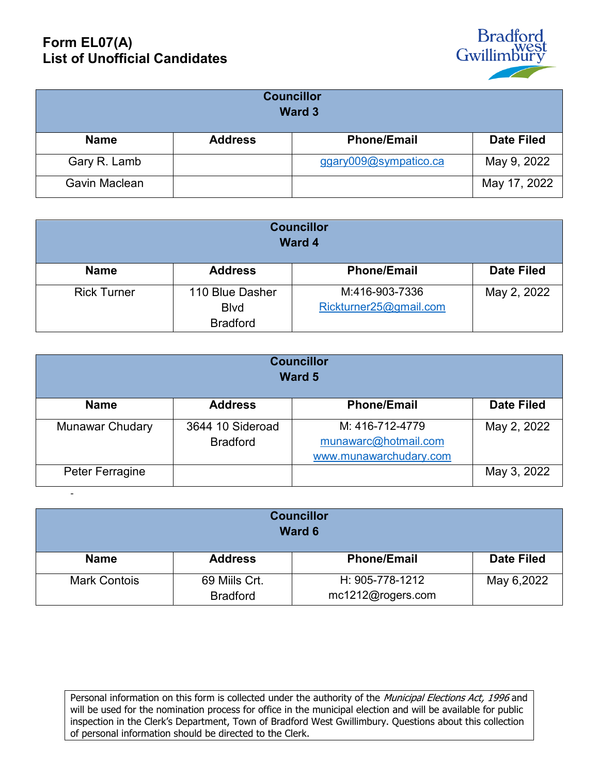## **Form EL07(A) List of Unofficial Candidates**

-



| <b>Councillor</b><br>Ward 3 |                |                       |                   |
|-----------------------------|----------------|-----------------------|-------------------|
| <b>Name</b>                 | <b>Address</b> | <b>Phone/Email</b>    | <b>Date Filed</b> |
| Gary R. Lamb                |                | ggary009@sympatico.ca | May 9, 2022       |
| Gavin Maclean               |                |                       | May 17, 2022      |

| <b>Councillor</b><br><b>Ward 4</b> |                 |                        |                   |
|------------------------------------|-----------------|------------------------|-------------------|
| <b>Name</b>                        | <b>Address</b>  | <b>Phone/Email</b>     | <b>Date Filed</b> |
| <b>Rick Turner</b>                 | 110 Blue Dasher | M:416-903-7336         | May 2, 2022       |
|                                    | <b>B</b> lvd    | Rickturner25@gmail.com |                   |
|                                    | <b>Bradford</b> |                        |                   |

| <b>Councillor</b><br>Ward 5 |                                     |                                                                   |                   |
|-----------------------------|-------------------------------------|-------------------------------------------------------------------|-------------------|
| <b>Name</b>                 | <b>Address</b>                      | <b>Phone/Email</b>                                                | <b>Date Filed</b> |
| <b>Munawar Chudary</b>      | 3644 10 Sideroad<br><b>Bradford</b> | M: 416-712-4779<br>munawarc@hotmail.com<br>www.munawarchudary.com | May 2, 2022       |
| Peter Ferragine             |                                     |                                                                   | May 3, 2022       |

| <b>Councillor</b><br>Ward 6 |                                  |                                      |                   |
|-----------------------------|----------------------------------|--------------------------------------|-------------------|
| <b>Name</b>                 | <b>Address</b>                   | <b>Phone/Email</b>                   | <b>Date Filed</b> |
| <b>Mark Contois</b>         | 69 Mills Crt.<br><b>Bradford</b> | H: 905-778-1212<br>mc1212@rogers.com | May 6,2022        |

Personal information on this form is collected under the authority of the Municipal Elections Act, 1996 and will be used for the nomination process for office in the municipal election and will be available for public inspection in the Clerk's Department, Town of Bradford West Gwillimbury. Questions about this collection of personal information should be directed to the Clerk.